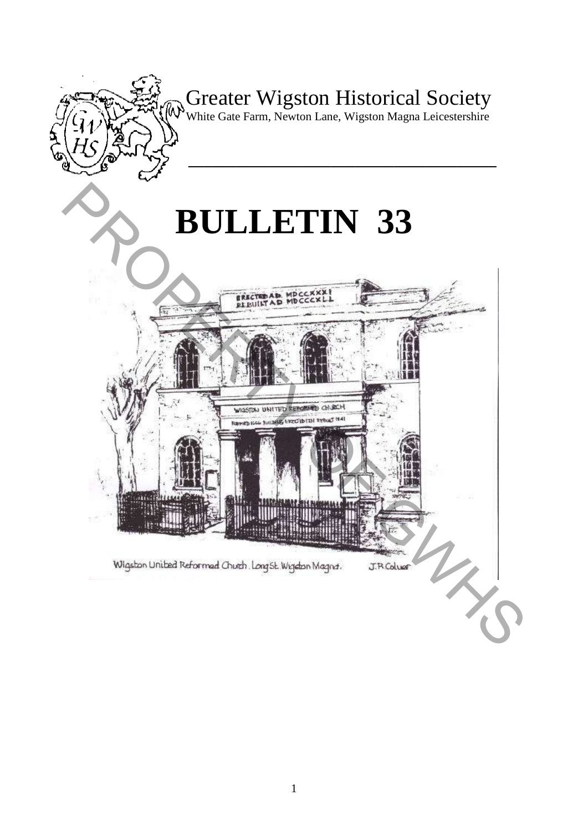

# Greater Wigston Historical Society

White Gate Farm, Newton Lane, Wigston Magna Leicestershire

**\_\_\_\_\_\_\_\_\_\_\_\_\_\_\_\_\_\_\_\_\_\_\_\_\_\_\_\_\_\_\_\_\_\_\_\_\_\_\_** 

# **BULLETIN 33**



1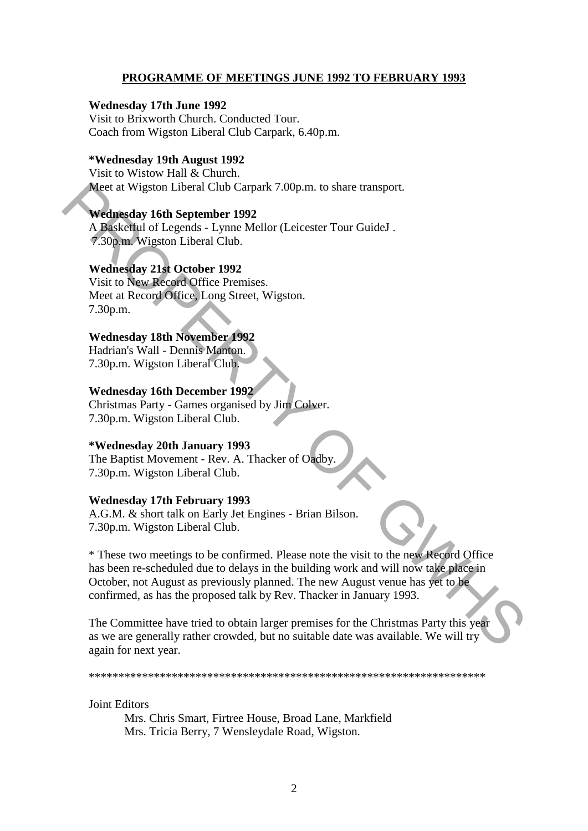## **PROGRAMME OF MEETINGS JUNE 1992 TO FEBRUARY 1993**

#### **Wednesday 17th June 1992**

Visit to Brixworth Church. Conducted Tour. Coach from Wigston Liberal Club Carpark, 6.40p.m.

## **\*Wednesday 19th August 1992**

Visit to Wistow Hall & Church. Meet at Wigston Liberal Club Carpark 7.00p.m. to share transport.

#### **Wednesday 16th September 1992**

A Basketful of Legends - Lynne Mellor (Leicester Tour GuideJ . 7.30p.m. Wigston Liberal Club.

#### **Wednesday 21st October 1992**

Visit to New Record Office Premises. Meet at Record Office, Long Street, Wigston. 7.30p.m.

#### **Wednesday 18th November 1992**

Hadrian's Wall - Dennis Manton. 7.30p.m. Wigston Liberal Club.

#### **Wednesday 16th December 1992**

Christmas Party - Games organised by Jim Colver. 7.30p.m. Wigston Liberal Club.

#### **\*Wednesday 20th January 1993**

The Baptist Movement - Rev. A. Thacker of Oadby. 7.30p.m. Wigston Liberal Club.

#### **Wednesday 17th February 1993**

A.G.M. & short talk on Early Jet Engines - Brian Bilson. 7.30p.m. Wigston Liberal Club.

\* These two meetings to be confirmed. Please note the visit to the new Record Office has been re-scheduled due to delays in the building work and will now take place in October, not August as previously planned. The new August venue has yet to be confirmed, as has the proposed talk by Rev. Thacker in January 1993. Meet at Wigston Liberal Club Carpark 7.00p.m. to share transport.<br> **Wednesday 16th September 1992**<br>
A Baskerful of Legends - Lynne Mellor (Leicester Tour GuideJ .<br>
A Baskerful of Legends - Lynne Mellor (Leicester Tour Guid

The Committee have tried to obtain larger premises for the Christmas Party this year as we are generally rather crowded, but no suitable date was available. We will try again for next year.

\*\*\*\*\*\*\*\*\*\*\*\*\*\*\*\*\*\*\*\*\*\*\*\*\*\*\*\*\*\*\*\*\*\*\*\*\*\*\*\*\*\*\*\*\*\*\*\*\*\*\*\*\*\*\*\*\*\*\*\*\*\*\*\*\*\*\*

Joint Editors

Mrs. Chris Smart, Firtree House, Broad Lane, Markfield Mrs. Tricia Berry, 7 Wensleydale Road, Wigston.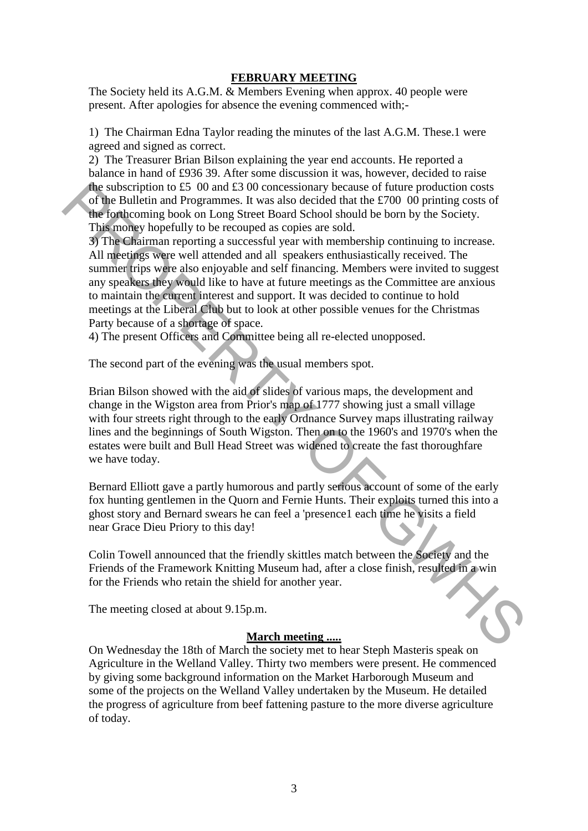#### **FEBRUARY MEETING**

The Society held its A.G.M. & Members Evening when approx. 40 people were present. After apologies for absence the evening commenced with;-

1) The Chairman Edna Taylor reading the minutes of the last A.G.M. These.1 were agreed and signed as correct.

2) The Treasurer Brian Bilson explaining the year end accounts. He reported a balance in hand of £936 39. After some discussion it was, however, decided to raise the subscription to £5 00 and £3 00 concessionary because of future production costs of the Bulletin and Programmes. It was also decided that the £700 00 printing costs of the forthcoming book on Long Street Board School should be born by the Society. This money hopefully to be recouped as copies are sold.

3) The Chairman reporting a successful year with membership continuing to increase. All meetings were well attended and all speakers enthusiastically received. The summer trips were also enjoyable and self financing. Members were invited to suggest any speakers they would like to have at future meetings as the Committee are anxious to maintain the current interest and support. It was decided to continue to hold meetings at the Liberal Club but to look at other possible venues for the Christmas Party because of a shortage of space. the subscription to 45 00 and 43 00 concessionary because of future production costs<br>of the Bulletin and Programmes. It was also decided that the 4700 00 printing costs of<br>the orthcoming book on Long Street Board School s

4) The present Officers and Committee being all re-elected unopposed.

The second part of the evening was the usual members spot.

Brian Bilson showed with the aid of slides of various maps, the development and change in the Wigston area from Prior's map of 1777 showing just a small village with four streets right through to the early Ordnance Survey maps illustrating railway lines and the beginnings of South Wigston. Then on to the 1960's and 1970's when the estates were built and Bull Head Street was widened to create the fast thoroughfare we have today.

Bernard Elliott gave a partly humorous and partly serious account of some of the early fox hunting gentlemen in the Quorn and Fernie Hunts. Their exploits turned this into a ghost story and Bernard swears he can feel a 'presence1 each time he visits a field near Grace Dieu Priory to this day!

Colin Towell announced that the friendly skittles match between the Society and the Friends of the Framework Knitting Museum had, after a close finish, resulted in a win for the Friends who retain the shield for another year.

The meeting closed at about 9.15p.m.

#### **March meeting .....**

On Wednesday the 18th of March the society met to hear Steph Masteris speak on Agriculture in the Welland Valley. Thirty two members were present. He commenced by giving some background information on the Market Harborough Museum and some of the projects on the Welland Valley undertaken by the Museum. He detailed the progress of agriculture from beef fattening pasture to the more diverse agriculture of today.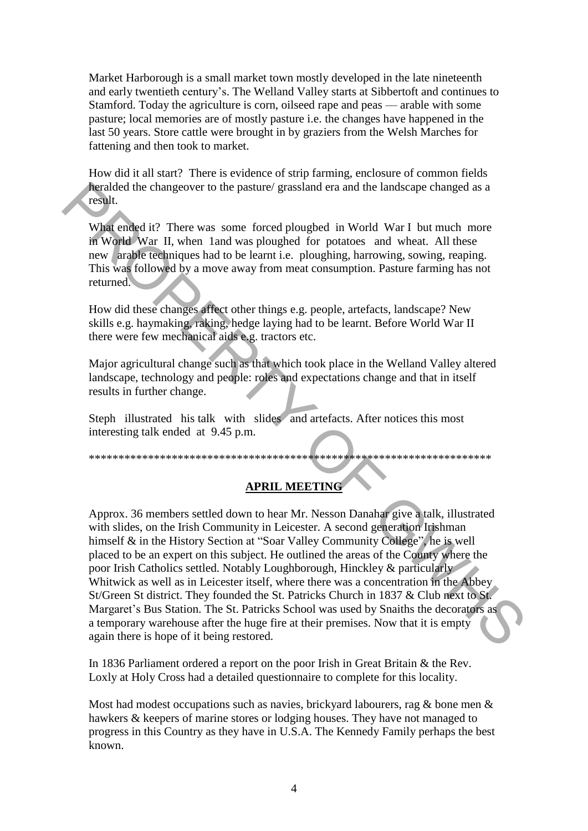Market Harborough is a small market town mostly developed in the late nineteenth and early twentieth century's. The Welland Valley starts at Sibbertoft and continues to Stamford. Today the agriculture is corn, oilseed rape and peas — arable with some pasture; local memories are of mostly pasture i.e. the changes have happened in the last 50 years. Store cattle were brought in by graziers from the Welsh Marches for fattening and then took to market.

How did it all start? There is evidence of strip farming, enclosure of common fields heralded the changeover to the pasture/ grassland era and the landscape changed as a result.

What ended it? There was some forced plougbed in World War I but much more in World War II, when 1and was ploughed for potatoes and wheat. All these new arable techniques had to be learnt i.e. ploughing, harrowing, sowing, reaping. This was followed by a move away from meat consumption. Pasture farming has not returned.

How did these changes affect other things e.g. people, artefacts, landscape? New skills e.g. haymaking, raking, hedge laying had to be learnt. Before World War II there were few mechanical aids e.g. tractors etc.

Major agricultural change such as that which took place in the Welland Valley altered landscape, technology and people: roles and expectations change and that in itself results in further change.

Steph illustrated his talk with slides and artefacts. After notices this most interesting talk ended at 9.45 p.m.

\*\*\*\*\*\*\*\*\*\*\*\*\*\*\*\*\*\*\*\*\*\*\*\*\*\*\*\*\*\*\*\*\*\*\*\*\*\*\*\*\*\*\*\*\*\*\*\*\*\*\*\*\*\*\*\*\*\*\*\*\*\*\*\*\*\*\*\*

# **APRIL MEETING**

Approx. 36 members settled down to hear Mr. Nesson Danahar give a talk, illustrated with slides, on the Irish Community in Leicester. A second generation Irishman himself  $\&$  in the History Section at "Soar Valley Community College", he is well placed to be an expert on this subject. He outlined the areas of the County where the poor Irish Catholics settled. Notably Loughborough, Hinckley & particularly Whitwick as well as in Leicester itself, where there was a concentration in the Abbey St/Green St district. They founded the St. Patricks Church in 1837 & Club next to St. Margaret's Bus Station. The St. Patricks School was used by Snaiths the decorators as a temporary warehouse after the huge fire at their premises. Now that it is empty again there is hope of it being restored. **heralded** the changeover to the pasture/grassland era and the landscape changed as a<br>result.<br> **Wisk** ended it? There was some forced ploughed in World War I but much more<br>
in World War II, when I and was ploughed for pot

In 1836 Parliament ordered a report on the poor Irish in Great Britain & the Rev. Loxly at Holy Cross had a detailed questionnaire to complete for this locality.

Most had modest occupations such as navies, brickyard labourers, rag & bone men & hawkers & keepers of marine stores or lodging houses. They have not managed to progress in this Country as they have in U.S.A. The Kennedy Family perhaps the best known.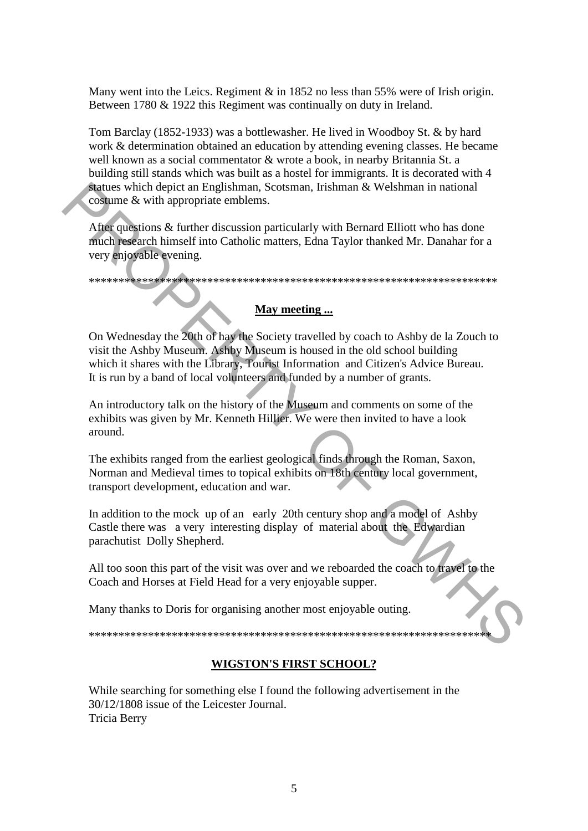Many went into the Leics. Regiment & in 1852 no less than 55% were of Irish origin. Between 1780 & 1922 this Regiment was continually on duty in Ireland.

Tom Barclay (1852-1933) was a bottlewasher. He lived in Woodboy St. & by hard work & determination obtained an education by attending evening classes. He became well known as a social commentator & wrote a book, in nearby Britannia St. a building still stands which was built as a hostel for immigrants. It is decorated with 4 statues which depict an Englishman, Scotsman, Irishman & Welshman in national costume & with appropriate emblems.

After questions & further discussion particularly with Bernard Elliott who has done much research himself into Catholic matters, Edna Taylor thanked Mr. Danahar for a very enjoyable evening.

\*\*\*\*\*\*\*\*\*\*\*\*\*\*\*\*\*\*\*\*\*\*\*\*\*\*\*\*\*\*\*\*\*\*\*\*\*\*\*\*\*\*\*\*\*\*\*\*\*\*\*\*\*\*\*\*\*\*\*\*\*\*\*\*\*\*\*\*\*

### **May meeting ...**

On Wednesday the 20th of hay the Society travelled by coach to Ashby de la Zouch to visit the Ashby Museum. Ashby Museum is housed in the old school building which it shares with the Library, Tourist Information and Citizen's Advice Bureau. It is run by a band of local volunteers and funded by a number of grants. Next use their depict an Englishman, Scottman, Eishman & Welshman in national<br>
After questions & further discussion particularly with Bernard Elliott who has done<br>
much research himself into Catholic matters, Edna Taylor t

An introductory talk on the history of the Museum and comments on some of the exhibits was given by Mr. Kenneth Hillier. We were then invited to have a look around.

The exhibits ranged from the earliest geological finds through the Roman, Saxon, Norman and Medieval times to topical exhibits on 18th century local government, transport development, education and war.

In addition to the mock up of an early 20th century shop and a model of Ashby Castle there was a very interesting display of material about the Edwardian parachutist Dolly Shepherd.

All too soon this part of the visit was over and we reboarded the coach to travel to the Coach and Horses at Field Head for a very enjoyable supper.

Many thanks to Doris for organising another most enjoyable outing.

\*\*\*\*\*\*\*\*\*\*\*\*\*\*\*\*\*\*\*\*\*\*\*\*\*\*\*\*\*\*\*\*\*\*\*\*\*\*\*\*\*\*\*\*\*\*\*\*\*\*\*\*\*\*\*\*\*\*\*\*\*\*\*\*\*\*\*\*

# **WIGSTON'S FIRST SCHOOL?**

While searching for something else I found the following advertisement in the 30/12/1808 issue of the Leicester Journal. Tricia Berry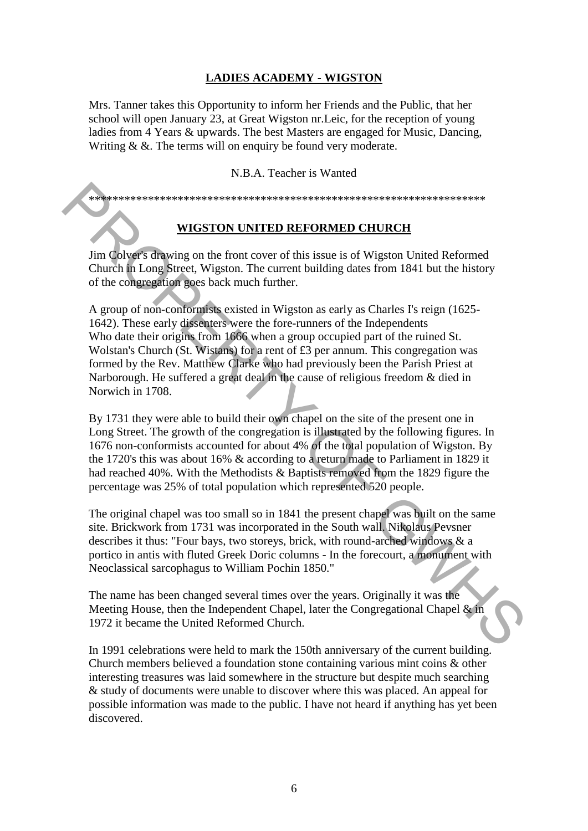# **LADIES ACADEMY - WIGSTON**

Mrs. Tanner takes this Opportunity to inform her Friends and the Public, that her school will open January 23, at Great Wigston nr.Leic, for the reception of young ladies from 4 Years & upwards. The best Masters are engaged for Music, Dancing, Writing & &. The terms will on enquiry be found very moderate.

N.B.A. Teacher is Wanted

\*\*\*\*\*\*\*\*\*\*\*\*\*\*\*\*\*\*\*\*\*\*\*\*\*\*\*\*\*\*\*\*\*\*\*\*\*\*\*\*\*\*\*\*\*\*\*\*\*\*\*\*\*\*\*\*\*\*\*\*\*\*\*\*\*\*\*

# **WIGSTON UNITED REFORMED CHURCH**

Jim Colver's drawing on the front cover of this issue is of Wigston United Reformed Church in Long Street, Wigston. The current building dates from 1841 but the history of the congregation goes back much further.

A group of non-conformists existed in Wigston as early as Charles I's reign (1625- 1642). These early dissenters were the fore-runners of the Independents Who date their origins from 1666 when a group occupied part of the ruined St. Wolstan's Church (St. Wistans) for a rent of £3 per annum. This congregation was formed by the Rev. Matthew Clarke who had previously been the Parish Priest at Narborough. He suffered a great deal in the cause of religious freedom & died in Norwich in 1708. **EXERCISE TO THE SET CONSULTED REFORMED CHURCH**<br>
Final Colleges drawing on the front cover of this issue is of Wigston United Reformed<br>
Church in Long Street, Wigston. The current building dates from 1841 but the history<br>

By 1731 they were able to build their own chapel on the site of the present one in Long Street. The growth of the congregation is illustrated by the following figures. In 1676 non-conformists accounted for about 4% of the total population of Wigston. By the 1720's this was about 16% & according to a return made to Parliament in 1829 it had reached 40%. With the Methodists & Baptists removed from the 1829 figure the percentage was 25% of total population which represented 520 people.

The original chapel was too small so in 1841 the present chapel was built on the same site. Brickwork from 1731 was incorporated in the South wall. Nikolaus Pevsner describes it thus: "Four bays, two storeys, brick, with round-arched windows & a portico in antis with fluted Greek Doric columns - In the forecourt, a monument with Neoclassical sarcophagus to William Pochin 1850."

The name has been changed several times over the years. Originally it was the Meeting House, then the Independent Chapel, later the Congregational Chapel & in 1972 it became the United Reformed Church.

In 1991 celebrations were held to mark the 150th anniversary of the current building. Church members believed a foundation stone containing various mint coins & other interesting treasures was laid somewhere in the structure but despite much searching & study of documents were unable to discover where this was placed. An appeal for possible information was made to the public. I have not heard if anything has yet been discovered.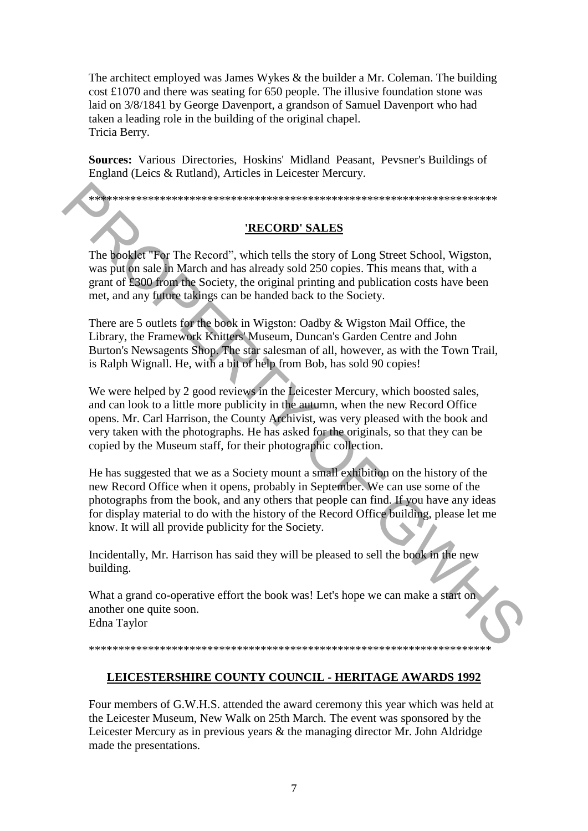The architect employed was James Wykes & the builder a Mr. Coleman. The building cost £1070 and there was seating for 650 people. The illusive foundation stone was laid on 3/8/1841 by George Davenport, a grandson of Samuel Davenport who had taken a leading role in the building of the original chapel. Tricia Berry.

**Sources:** Various Directories, Hoskins' Midland Peasant, Pevsner's Buildings of England (Leics & Rutland), Articles in Leicester Mercury.

\*\*\*\*\*\*\*\*\*\*\*\*\*\*\*\*\*\*\*\*\*\*\*\*\*\*\*\*\*\*\*\*\*\*\*\*\*\*\*\*\*\*\*\*\*\*\*\*\*\*\*\*\*\*\*\*\*\*\*\*\*\*\*\*\*\*\*\*\*

### **'RECORD' SALES**

The booklet "For The Record", which tells the story of Long Street School, Wigston, was put on sale in March and has already sold 250 copies. This means that, with a grant of £300 from the Society, the original printing and publication costs have been met, and any future takings can be handed back to the Society.

There are 5 outlets for the book in Wigston: Oadby & Wigston Mail Office, the Library, the Framework Knitters' Museum, Duncan's Garden Centre and John Burton's Newsagents Shop. The star salesman of all, however, as with the Town Trail, is Ralph Wignall. He, with a bit of help from Bob, has sold 90 copies!

We were helped by 2 good reviews in the Leicester Mercury, which boosted sales, and can look to a little more publicity in the autumn, when the new Record Office opens. Mr. Carl Harrison, the County Archivist, was very pleased with the book and very taken with the photographs. He has asked for the originals, so that they can be copied by the Museum staff, for their photographic collection.

He has suggested that we as a Society mount a small exhibition on the history of the new Record Office when it opens, probably in September. We can use some of the photographs from the book, and any others that people can find. If you have any ideas for display material to do with the history of the Record Office building, please let me know. It will all provide publicity for the Society. **EXECORD' SALES**<br>
The booklet Ter The Record", which tells the story of Long Street School. Wigston, was pius on sale in March and has already sold 250 copies. This means that, with a grant of Exco from the pockety, the o

Incidentally, Mr. Harrison has said they will be pleased to sell the book in the new building.

What a grand co-operative effort the book was! Let's hope we can make a start on another one quite soon.

Edna Taylor

# \*\*\*\*\*\*\*\*\*\*\*\*\*\*\*\*\*\*\*\*\*\*\*\*\*\*\*\*\*\*\*\*\*\*\*\*\*\*\*\*\*\*\*\*\*\*\*\*\*\*\*\*\*\*\*\*\*\*\*\*\*\*\*\*\*\*\*\*

# **LEICESTERSHIRE COUNTY COUNCIL - HERITAGE AWARDS 1992**

Four members of G.W.H.S. attended the award ceremony this year which was held at the Leicester Museum, New Walk on 25th March. The event was sponsored by the Leicester Mercury as in previous years & the managing director Mr. John Aldridge made the presentations.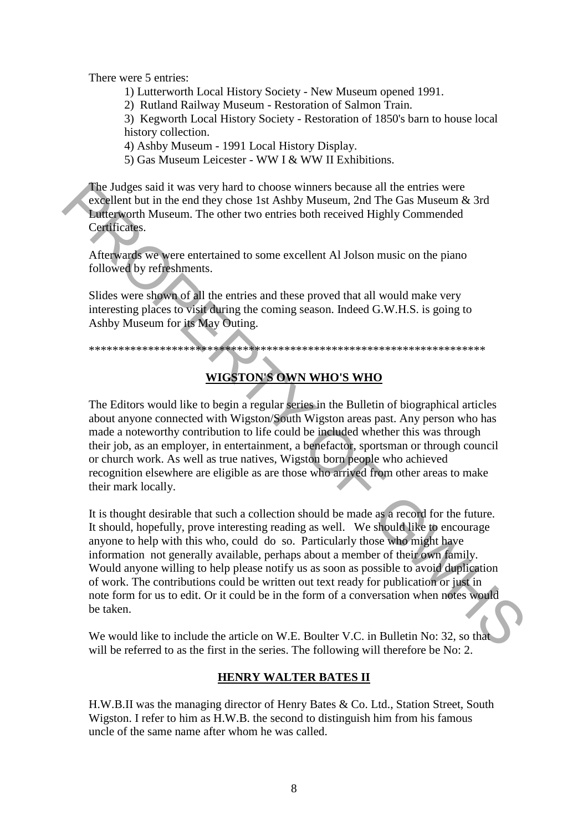There were 5 entries:

1) Lutterworth Local History Society - New Museum opened 1991.

2) Rutland Railway Museum - Restoration of Salmon Train.

3) Kegworth Local History Society - Restoration of 1850's barn to house local history collection.

4) Ashby Museum - 1991 Local History Display.

5) Gas Museum Leicester - WW I & WW II Exhibitions.

The Judges said it was very hard to choose winners because all the entries were excellent but in the end they chose 1st Ashby Museum, 2nd The Gas Museum & 3rd Lutterworth Museum. The other two entries both received Highly Commended Certificates.

Afterwards we were entertained to some excellent Al Jolson music on the piano followed by refreshments.

Slides were shown of all the entries and these proved that all would make very interesting places to visit during the coming season. Indeed G.W.H.S. is going to Ashby Museum for its May Outing.

\*\*\*\*\*\*\*\*\*\*\*\*\*\*\*\*\*\*\*\*\*\*\*\*\*\*\*\*\*\*\*\*\*\*\*\*\*\*\*\*\*\*\*\*\*\*\*\*\*\*\*\*\*\*\*\*\*\*\*\*\*\*\*\*\*\*\*

# **WIGSTON'S OWN WHO'S WHO**

The Editors would like to begin a regular series in the Bulletin of biographical articles about anyone connected with Wigston/South Wigston areas past. Any person who has made a noteworthy contribution to life could be included whether this was through their job, as an employer, in entertainment, a benefactor, sportsman or through council or church work. As well as true natives, Wigston born people who achieved recognition elsewhere are eligible as are those who arrived from other areas to make their mark locally.

It is thought desirable that such a collection should be made as a record for the future. It should, hopefully, prove interesting reading as well. We should like to encourage anyone to help with this who, could do so. Particularly those who might have information not generally available, perhaps about a member of their own family. Would anyone willing to help please notify us as soon as possible to avoid duplication of work. The contributions could be written out text ready for publication or just in note form for us to edit. Or it could be in the form of a conversation when notes would be taken. The Judges stail it was very hard to choose winners because all the entries were<br>
excellent but in the end they choose Is Ashby Museum, 2nd The Gas Museum & 3rd<br>
Letterworth Museum. The other two entries both received Hig

We would like to include the article on W.E. Boulter V.C. in Bulletin No: 32, so that will be referred to as the first in the series. The following will therefore be No: 2.

#### **HENRY WALTER BATES II**

H.W.B.II was the managing director of Henry Bates & Co. Ltd., Station Street, South Wigston. I refer to him as H.W.B. the second to distinguish him from his famous uncle of the same name after whom he was called.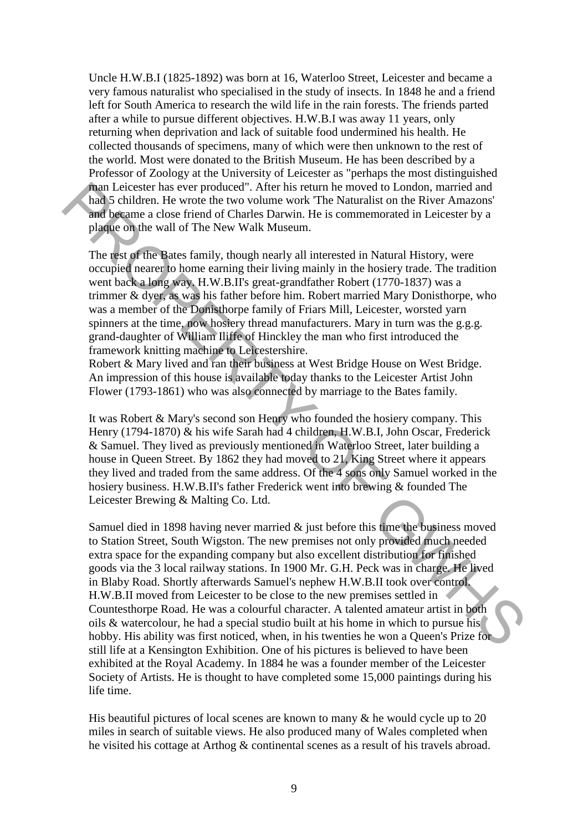Uncle H.W.B.I (1825-1892) was born at 16, Waterloo Street, Leicester and became a very famous naturalist who specialised in the study of insects. In 1848 he and a friend left for South America to research the wild life in the rain forests. The friends parted after a while to pursue different objectives. H.W.B.I was away 11 years, only returning when deprivation and lack of suitable food undermined his health. He collected thousands of specimens, many of which were then unknown to the rest of the world. Most were donated to the British Museum. He has been described by a Professor of Zoology at the University of Leicester as "perhaps the most distinguished man Leicester has ever produced". After his return he moved to London, married and had 5 children. He wrote the two volume work 'The Naturalist on the River Amazons' and became a close friend of Charles Darwin. He is commemorated in Leicester by a plaque on the wall of The New Walk Museum.

The rest of the Bates family, though nearly all interested in Natural History, were occupied nearer to home earning their living mainly in the hosiery trade. The tradition went back a long way. H.W.B.II's great-grandfather Robert (1770-1837) was a trimmer & dyer, as was his father before him. Robert married Mary Donisthorpe, who was a member of the Donisthorpe family of Friars Mill, Leicester, worsted yarn spinners at the time, now hosiery thread manufacturers. Mary in turn was the g.g.g. grand-daughter of William Iliffe of Hinckley the man who first introduced the framework knitting machine to Leicestershire.

Robert & Mary lived and ran their business at West Bridge House on West Bridge. An impression of this house is available today thanks to the Leicester Artist John Flower (1793-1861) who was also connected by marriage to the Bates family.

It was Robert & Mary's second son Henry who founded the hosiery company. This Henry (1794-1870) & his wife Sarah had 4 children, H.W.B.I, John Oscar, Frederick & Samuel. They lived as previously mentioned in Waterloo Street, later building a house in Queen Street. By 1862 they had moved to 21, King Street where it appears they lived and traded from the same address. Of the 4 sons only Samuel worked in the hosiery business. H.W.B.II's father Frederick went into brewing & founded The Leicester Brewing & Malting Co. Ltd.

Samuel died in 1898 having never married  $\&$  just before this time the business moved to Station Street, South Wigston. The new premises not only provided much needed extra space for the expanding company but also excellent distribution for finished goods via the 3 local railway stations. In 1900 Mr. G.H. Peck was in charge. He lived in Blaby Road. Shortly afterwards Samuel's nephew H.W.B.II took over control. H.W.B.II moved from Leicester to be close to the new premises settled in Countesthorpe Road. He was a colourful character. A talented amateur artist in both oils & watercolour, he had a special studio built at his home in which to pursue his hobby. His ability was first noticed, when, in his twenties he won a Queen's Prize for still life at a Kensington Exhibition. One of his pictures is believed to have been exhibited at the Royal Academy. In 1884 he was a founder member of the Leicester Society of Artists. He is thought to have completed some 15,000 paintings during his life time. man Leiester has ever produced." After his return he moved to London, married and peace that a particular and be the Now The Naturalist on the River Amazons'<br>and pearme a close friend of Charles Darwin. He is commentored

His beautiful pictures of local scenes are known to many  $\&$  he would cycle up to 20 miles in search of suitable views. He also produced many of Wales completed when he visited his cottage at Arthog & continental scenes as a result of his travels abroad.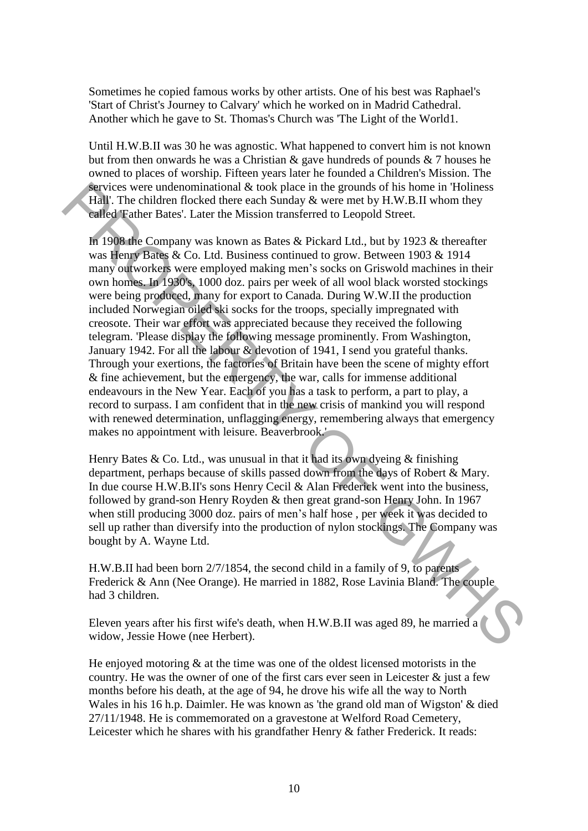Sometimes he copied famous works by other artists. One of his best was Raphael's 'Start of Christ's Journey to Calvary' which he worked on in Madrid Cathedral. Another which he gave to St. Thomas's Church was 'The Light of the World1.

Until H.W.B.II was 30 he was agnostic. What happened to convert him is not known but from then onwards he was a Christian & gave hundreds of pounds & 7 houses he owned to places of worship. Fifteen years later he founded a Children's Mission. The services were undenominational & took place in the grounds of his home in 'Holiness Hall'. The children flocked there each Sunday & were met by H.W.B.II whom they called 'Father Bates'. Later the Mission transferred to Leopold Street.

In 1908 the Company was known as Bates & Pickard Ltd., but by 1923 & thereafter was Henry Bates & Co. Ltd. Business continued to grow. Between 1903 & 1914 many outworkers were employed making men's socks on Griswold machines in their own homes. In 1930's, 1000 doz. pairs per week of all wool black worsted stockings were being produced, many for export to Canada. During W.W.II the production included Norwegian oiled ski socks for the troops, specially impregnated with creosote. Their war effort was appreciated because they received the following telegram. 'Please display the following message prominently. From Washington, January 1942. For all the labour & devotion of 1941, I send you grateful thanks. Through your exertions, the factories of Britain have been the scene of mighty effort & fine achievement, but the emergency, the war, calls for immense additional endeavours in the New Year. Each of you has a task to perform, a part to play, a record to surpass. I am confident that in the new crisis of mankind you will respond with renewed determination, unflagging energy, remembering always that emergency makes no appointment with leisure. Beaverbrook.' Factives were undenominational at cook place in the grounds of his home in Höllness<br>
Fall . The children flocked there each Sunday & were met by H.W.B.II whom they<br>
called Teather Bates'. Later the Mission transferred to

Henry Bates & Co. Ltd., was unusual in that it had its own dyeing  $\&$  finishing department, perhaps because of skills passed down from the days of Robert & Mary. In due course H.W.B.II's sons Henry Cecil & Alan Frederick went into the business, followed by grand-son Henry Royden & then great grand-son Henry John. In 1967 when still producing 3000 doz. pairs of men's half hose , per week it was decided to sell up rather than diversify into the production of nylon stockings. The Company was bought by A. Wayne Ltd.

H.W.B.II had been born 2/7/1854, the second child in a family of 9, to parents Frederick & Ann (Nee Orange). He married in 1882, Rose Lavinia Bland. The couple had 3 children.

Eleven years after his first wife's death, when H.W.B.II was aged 89, he married a widow, Jessie Howe (nee Herbert).

He enjoyed motoring & at the time was one of the oldest licensed motorists in the country. He was the owner of one of the first cars ever seen in Leicester  $\&$  just a few months before his death, at the age of 94, he drove his wife all the way to North Wales in his 16 h.p. Daimler. He was known as 'the grand old man of Wigston' & died 27/11/1948. He is commemorated on a gravestone at Welford Road Cemetery, Leicester which he shares with his grandfather Henry & father Frederick. It reads: